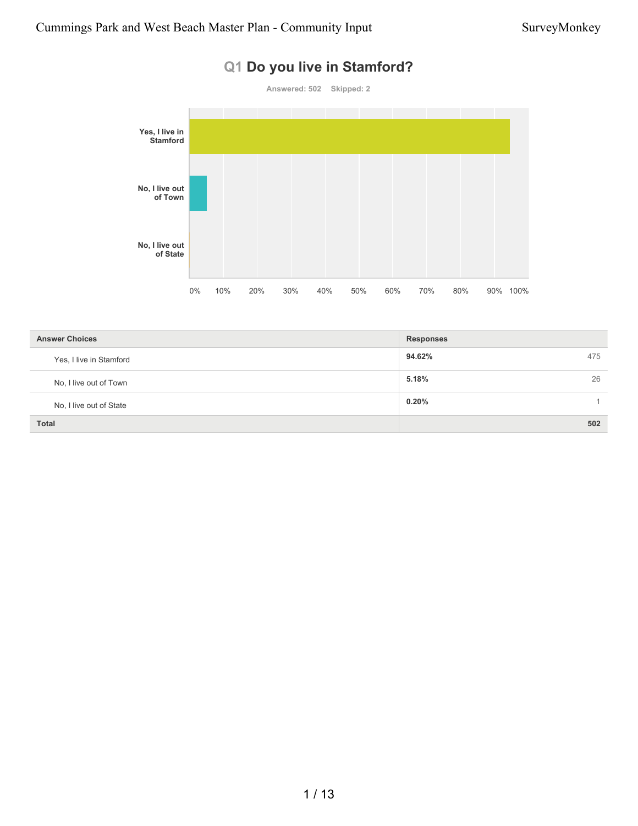# **Q1 Do you live in Stamford? Answered: 502 Skipped: 2**



| <b>Answer Choices</b>   | <b>Responses</b> |
|-------------------------|------------------|
| Yes, I live in Stamford | 94.62%<br>475    |
| No, I live out of Town  | 5.18%<br>26      |
| No, I live out of State | 0.20%            |
| <b>Total</b>            | 502              |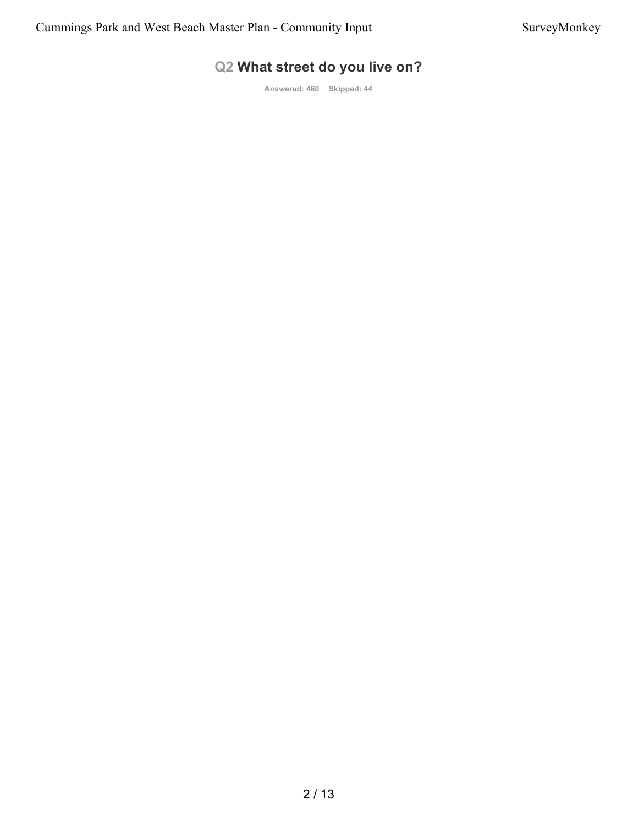### **Q2 What street do you live on?**

**Answered: 460 Skipped: 44**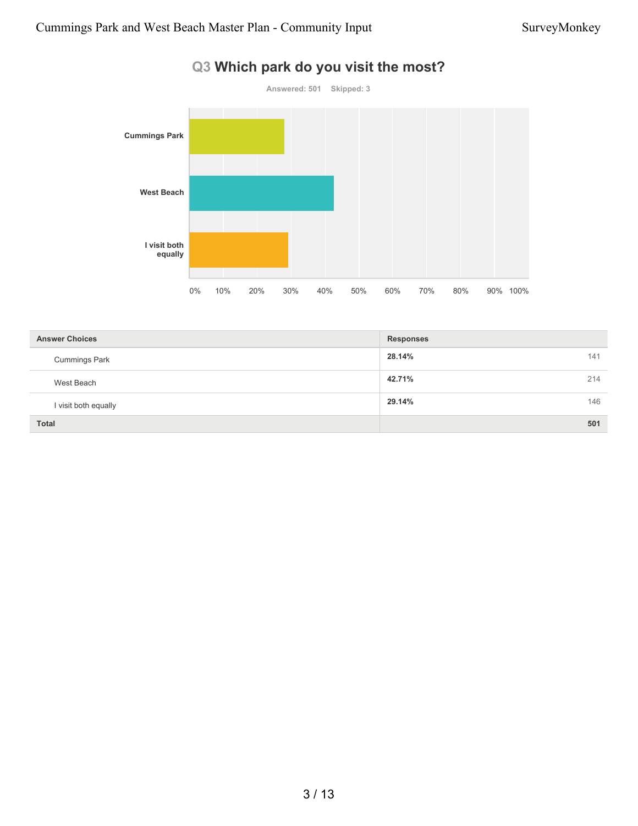

### **Q3 Which park do you visit the most?**

| <b>Answer Choices</b> | <b>Responses</b> |     |
|-----------------------|------------------|-----|
| <b>Cummings Park</b>  | 28.14%<br>141    |     |
| West Beach            | 42.71%<br>214    |     |
| I visit both equally  | 29.14%           | 146 |
| <b>Total</b>          | 501              |     |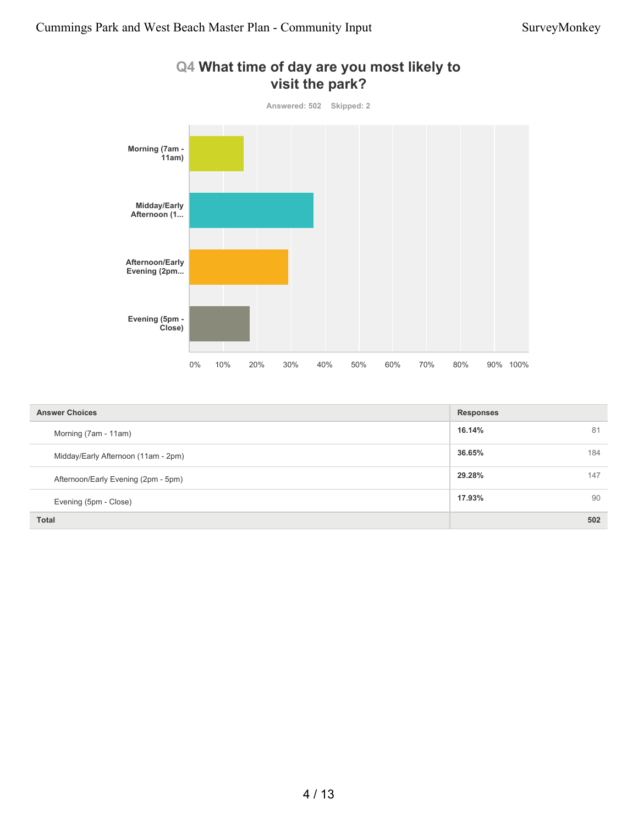

| Q4 What time of day are you most likely to |
|--------------------------------------------|
| visit the park?                            |

| <b>Answer Choices</b>               | <b>Responses</b> |
|-------------------------------------|------------------|
| Morning (7am - 11am)                | 16.14%<br>81     |
| Midday/Early Afternoon (11am - 2pm) | 36.65%<br>184    |
| Afternoon/Early Evening (2pm - 5pm) | 29.28%<br>147    |
| Evening (5pm - Close)               | 17.93%<br>90     |
| <b>Total</b>                        | 502              |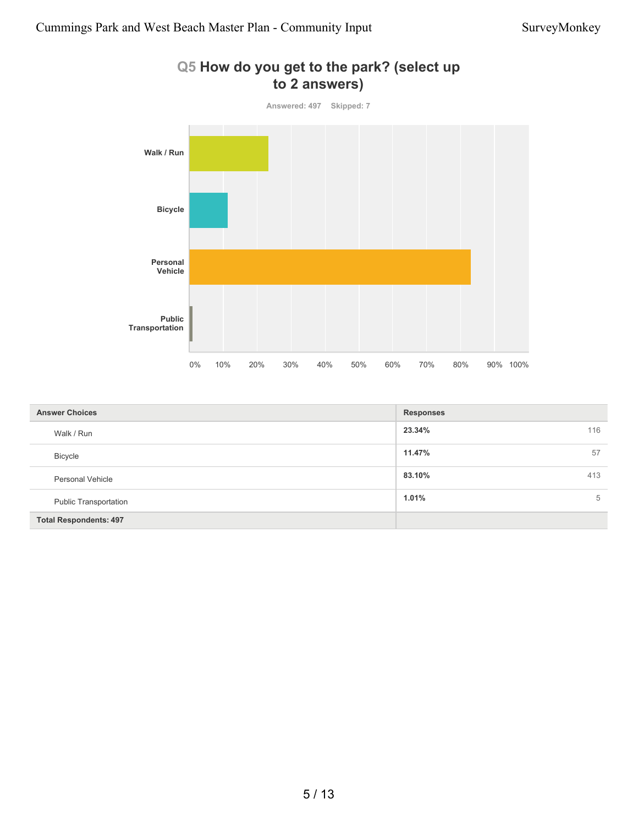

| Q5 How do you get to the park? (select up |  |
|-------------------------------------------|--|
| to 2 answers)                             |  |

| <b>Answer Choices</b>         | <b>Responses</b> |
|-------------------------------|------------------|
| Walk / Run                    | 23.34%<br>116    |
| <b>Bicycle</b>                | 11.47%<br>57     |
| <b>Personal Vehicle</b>       | 83.10%<br>413    |
| <b>Public Transportation</b>  | 1.01%<br>5       |
| <b>Total Respondents: 497</b> |                  |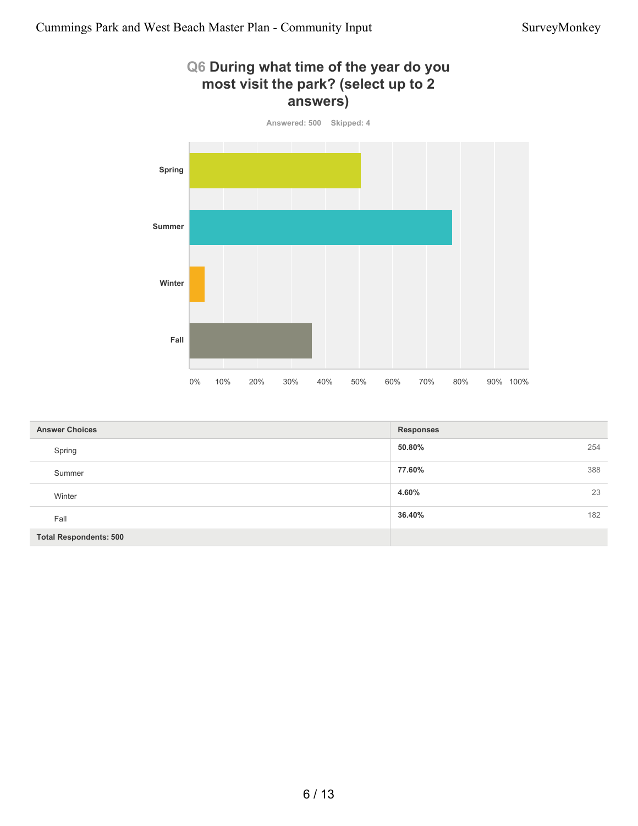# **Q6 During what time of the year do you most visit the park? (select up to 2 answers)**



| <b>Answer Choices</b>         | <b>Responses</b> |
|-------------------------------|------------------|
| Spring                        | 50.80%<br>254    |
| Summer                        | 388<br>77.60%    |
| Winter                        | 23<br>4.60%      |
| Fall                          | 182<br>36.40%    |
| <b>Total Respondents: 500</b> |                  |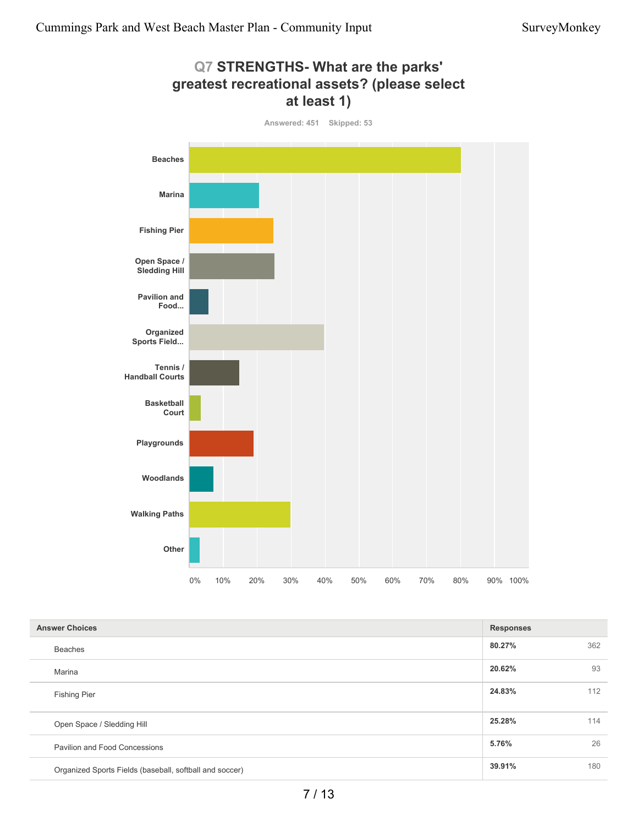

| <b>Answer Choices</b>                                   | <b>Responses</b> |     |
|---------------------------------------------------------|------------------|-----|
| <b>Beaches</b>                                          | 80.27%           | 362 |
| Marina                                                  | 20.62%           | 93  |
| <b>Fishing Pier</b>                                     | 24.83%           | 112 |
| Open Space / Sledding Hill                              | 25.28%           | 114 |
| Pavilion and Food Concessions                           | 5.76%            | 26  |
| Organized Sports Fields (baseball, softball and soccer) | 39.91%           | 180 |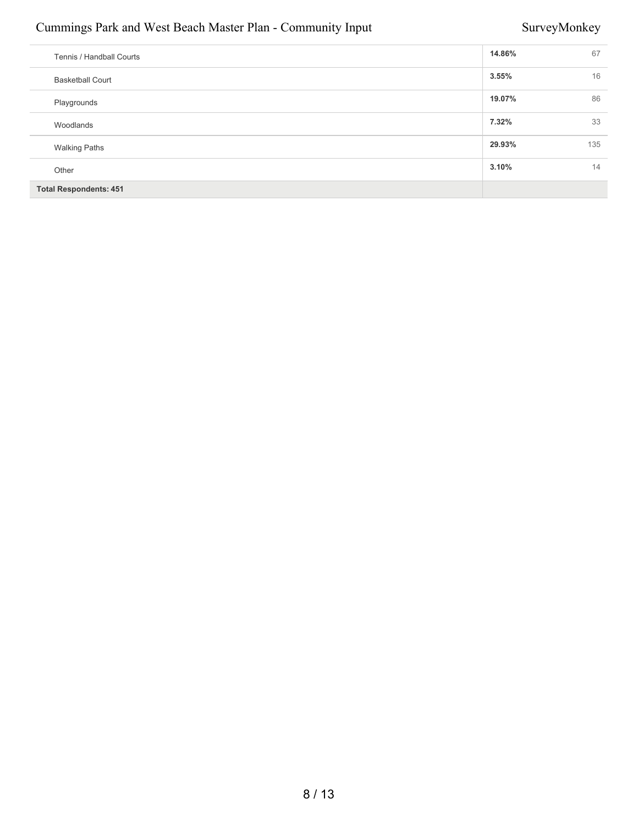### Cummings Park and West Beach Master Plan - Community Input SurveyMonkey

| Tennis / Handball Courts      | 14.86% | 67  |
|-------------------------------|--------|-----|
| <b>Basketball Court</b>       | 3.55%  | 16  |
| Playgrounds                   | 19.07% | 86  |
| Woodlands                     | 7.32%  | 33  |
| <b>Walking Paths</b>          | 29.93% | 135 |
| Other                         | 3.10%  | 14  |
| <b>Total Respondents: 451</b> |        |     |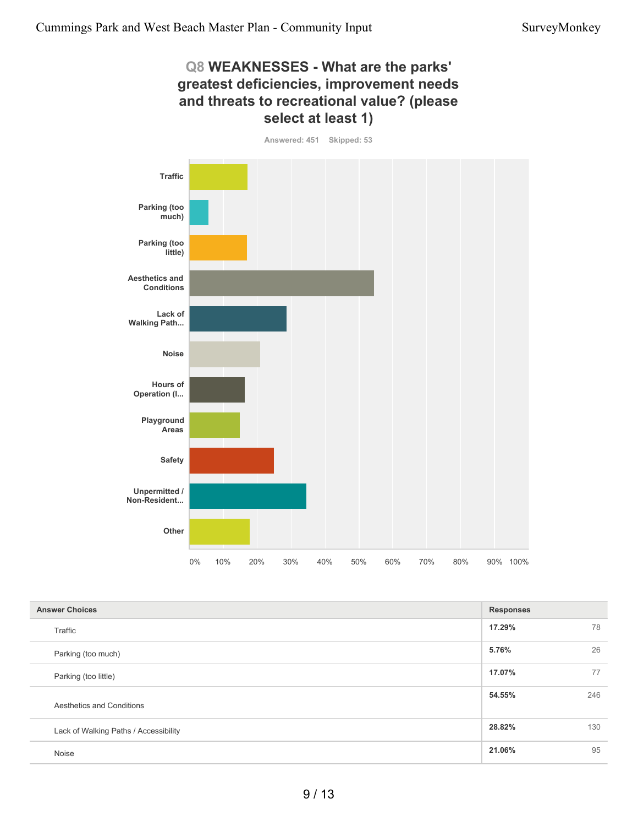#### **Q8 WEAKNESSES - What are the parks' greatest deficiencies, improvement needs and threats to recreational value? (please select at least 1)**





| <b>Answer Choices</b>                 | <b>Responses</b> |     |
|---------------------------------------|------------------|-----|
| Traffic                               | 17.29%           | 78  |
| Parking (too much)                    | 5.76%            | 26  |
| Parking (too little)                  | 17.07%           | 77  |
| Aesthetics and Conditions             | 54.55%           | 246 |
| Lack of Walking Paths / Accessibility | 28.82%           | 130 |
| Noise                                 | 21.06%           | 95  |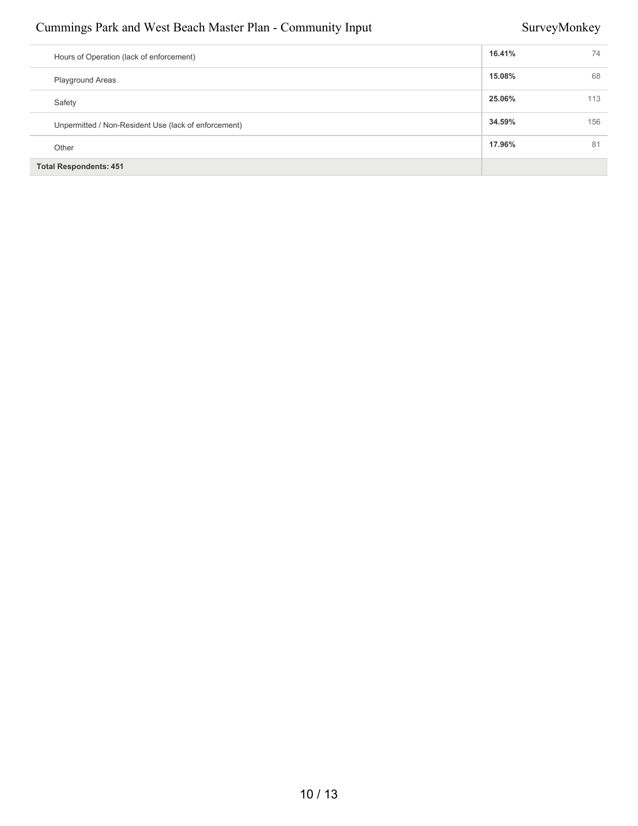### Cummings Park and West Beach Master Plan - Community Input SurveyMonkey

| Hours of Operation (lack of enforcement)             | 16.41% | 74  |
|------------------------------------------------------|--------|-----|
| <b>Playground Areas</b>                              | 15.08% | 68  |
| Safety                                               | 25.06% | 113 |
| Unpermitted / Non-Resident Use (lack of enforcement) | 34.59% | 156 |
| Other                                                | 17.96% | 81  |
| <b>Total Respondents: 451</b>                        |        |     |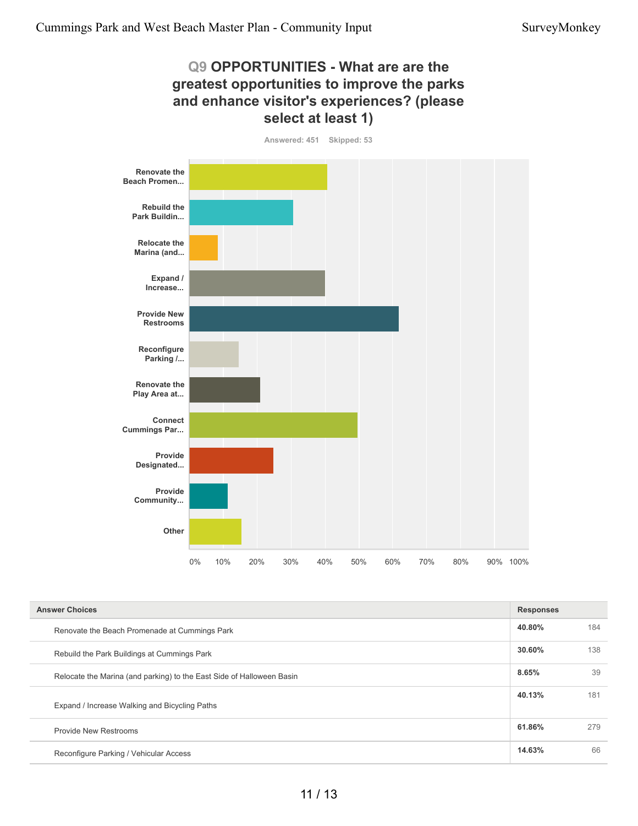#### **Q9 OPPORTUNITIES - What are are the greatest opportunities to improve the parks and enhance visitor's experiences? (please select at least 1)**

**Answered: 451 Skipped: 53 Renovate the Beach Promen... Rebuild the Park Buildin... Relocate the Marina (and... Expand / Increase... Provide New Restrooms Reconfigure Parking /... Renovate the Play Area at... Connect Cummings Par... Provide Designated... Provide Community... Other** 0% 10% 20% 30% 40% 50% 60% 70% 80% 90% 100%

| <b>Answer Choices</b>                                                 | <b>Responses</b> |     |
|-----------------------------------------------------------------------|------------------|-----|
| Renovate the Beach Promenade at Cummings Park                         | 40.80%           | 184 |
| Rebuild the Park Buildings at Cummings Park                           | 30.60%           | 138 |
| Relocate the Marina (and parking) to the East Side of Halloween Basin | 8.65%            | 39  |
| Expand / Increase Walking and Bicycling Paths                         | 40.13%           | 181 |
| <b>Provide New Restrooms</b>                                          | 61.86%           | 279 |
| Reconfigure Parking / Vehicular Access                                | 14.63%           | 66  |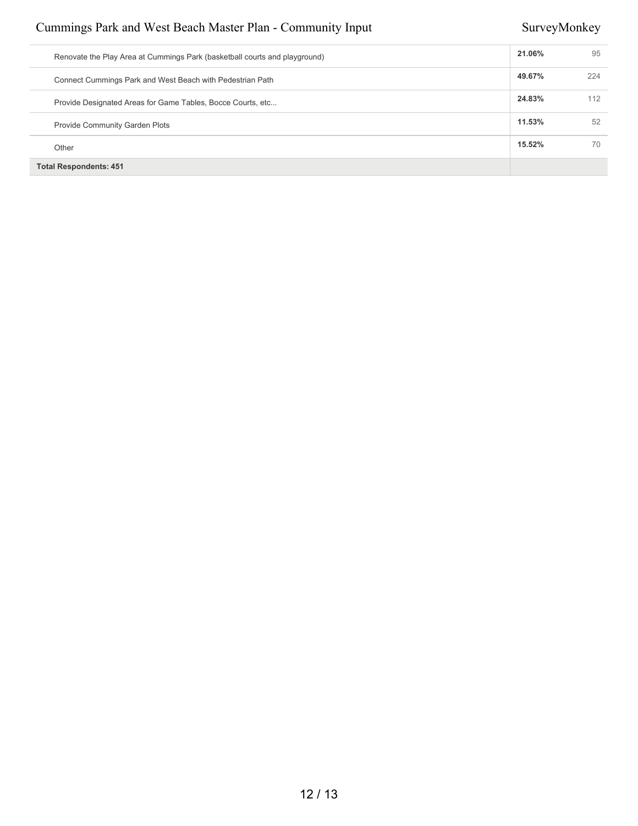### Cummings Park and West Beach Master Plan - Community Input SurveyMonkey

| Renovate the Play Area at Cummings Park (basketball courts and playground) | 21.06% | 95  |
|----------------------------------------------------------------------------|--------|-----|
| Connect Cummings Park and West Beach with Pedestrian Path                  | 49.67% | 224 |
| Provide Designated Areas for Game Tables, Bocce Courts, etc                | 24.83% | 112 |
| <b>Provide Community Garden Plots</b>                                      | 11.53% | 52  |
| Other                                                                      | 15.52% | 70  |
| <b>Total Respondents: 451</b>                                              |        |     |